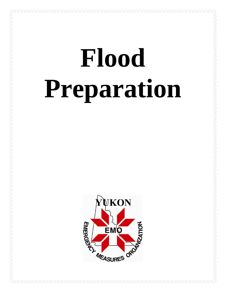# **Flood Preparation**

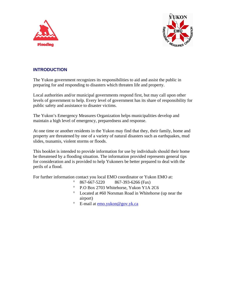



# **INTRODUCTION**

The Yukon government recognizes its responsibilities to aid and assist the public in preparing for and responding to disasters which threaten life and property.

Local authorities and/or municipal governments respond first, but may call upon other levels of government to help. Every level of government has its share of responsibility for public safety and assistance to disaster victims.

The Yukon's Emergency Measures Organization helps municipalities develop and maintain a high level of emergency, preparedness and response.

At one time or another residents in the Yukon may find that they, their family, home and property are threatened by one of a variety of natural disasters such as earthquakes, mud slides, tsunamis, violent storms or floods.

This booklet is intended to provide information for use by individuals should their home be threatened by a flooding situation. The information provided represents general tips for consideration and is provided to help Yukoners be better prepared to deal with the perils of a flood.

For further information contact you local EMO coordinator or Yukon EMO at:

- $\degree$  867-667-5220 867-393-6266 (Fax)
- ° P.O Box 2703 Whitehorse, Yukon Y1A 2C6
- ° Located at #60 Norsman Road in Whitehorse (up near the airport)
- ° E-mail at [emo.yukon@gov.yk.ca](mailto:emoyukon@gov.yk.ca)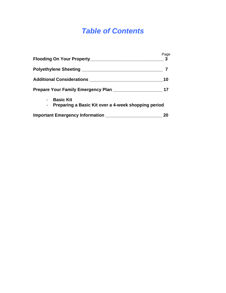# *Table of Contents*

| Flooding On Your Property_____________________                                              | Page<br>-3 |
|---------------------------------------------------------------------------------------------|------------|
|                                                                                             |            |
| <b>Additional Considerations</b>                                                            | 10         |
| Prepare Your Family Emergency Plan                                                          | 17         |
| <b>Basic Kit</b><br>$\blacksquare$<br>- Preparing a Basic Kit over a 4-week shopping period |            |
|                                                                                             |            |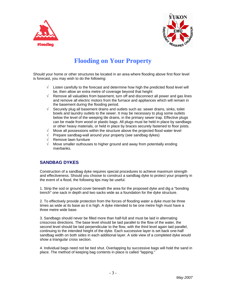



# **Flooding on Your Property**

Should your home or other structures be located in an area where flooding above first floor level is forecast, you may wish to do the following:

- $\sqrt{\phantom{a}}$  Listen carefully to the forecast and determine how high the predicted flood level will be, then allow an extra metre of coverage beyond that height
- $\sqrt{ }$  Remove all valuables from basement, turn off and disconnect all power and gas lines and remove all electric motors from the furnace and appliances which will remain in the basement during the flooding period.
- $\sqrt{ }$  Securely plug all basement drains and outlets such as: sewer drains, sinks, toilet bowls and laundry outlets to the sewer. It may be necessary to plug some outlets below the level of the weeping tile drains, in the primary sewer trap. Effective plugs can be made from wood or plastic bags. All plugs must be held in place by sandbags or other heavy materials, or held in place by braces securely fastened to floor joists.
- $\sqrt{\phantom{a}}$  Move all possessions within the structure above the projected flood water level
- √ Prepare sandbag-wall around your property (see sandbag dykes)
- √ Remove lawn furniture
- Move smaller outhouses to higher ground and away from potentially eroding riverbanks.

# **SANDBAG DYKES**

Construction of a sandbag dyke requires special procedures to achieve maximum strength and effectiveness. Should you choose to construct a sandbag dyke to protect your property in the event of a flood, the following tips may be useful.

1. Strip the sod or ground cover beneath the area for the proposed dyke and dig a "bonding trench" one sack in depth and two sacks wide as a foundation for the dyke structure.

2. To effectively provide protection from the forces of flooding water a dyke must be three times as wide at its base as it is high. A dyke intended to be one metre high must have a three metre wide base.

3. Sandbags should never be filled more than half-full and must be laid in alternating crisscross directions. The base level should be laid parallel to the flow of the water, the second level should be laid perpendicular to the flow, with the third level again laid parallel, continuing to the intended height of the dyke. Each successive layer is set back one-half sandbag width on both sides in each additional layer. A side view of a completed dyke would show a triangular cross section.

4. Individual bags need not be tied shut. Overlapping by successive bags will hold the sand in place. The method of keeping bag contents in place is called "lapping."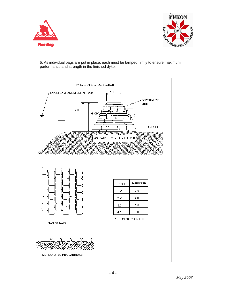



5. As individual bags are put in place, each must be tamped firmly to ensure maximum performance and strength in the finished dyke.



**TYPICAL DIKE CROSS SECTION** 



| HEIGHT | <b>BASE WIDTH</b> |
|--------|-------------------|
| 1.0    | 3.0               |
| 2.O    | 4.0               |
| 3.0    | 6.0               |
| 4.0    | 6.0               |

ALL DIMENSIONS IN FEET



METHOD OF LAPPING SANDBAGS

PLAN OF LAYER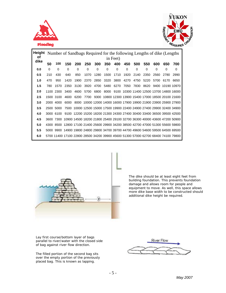



| <b>Height</b> Number of Sandbags Required for the following Lengths of dike (Lengths) |     |           |                                                                                    |            |                                                                        |          |                                                           |          |                                               |          |      |      |                            |      |
|---------------------------------------------------------------------------------------|-----|-----------|------------------------------------------------------------------------------------|------------|------------------------------------------------------------------------|----------|-----------------------------------------------------------|----------|-----------------------------------------------|----------|------|------|----------------------------|------|
| οf<br>dike                                                                            |     |           |                                                                                    |            |                                                                        |          |                                                           | in Feet) |                                               |          |      |      |                            |      |
|                                                                                       | 50  | 100       | 150                                                                                | <b>200</b> | 250                                                                    | 300      | 350                                                       | 400      | 450                                           | 500      | 550  | 600  | 650                        | 700  |
| 0.0                                                                                   | 0   | 0         | 0                                                                                  | 0          | 0                                                                      | $\Omega$ | $\Omega$                                                  | 0        | $\Omega$                                      | $\Omega$ | 0    | 0    | 0                          | 0    |
| 0.5                                                                                   | 210 | 430       | 640                                                                                | 850        | 1070                                                                   | 1280     | 1500                                                      | 1710     | 1920                                          | 2140     | 2350 | 2560 | 2780                       | 2990 |
| 1.0                                                                                   | 470 | 950       | 1420                                                                               | 1900       | 2370                                                                   | 2850     | 3320                                                      |          | 3800 4270 4750 5220 5700                      |          |      |      | 6170                       | 6650 |
| 1.5                                                                                   | 780 | 1570      | 2350                                                                               | 3130       | 3920                                                                   | 4700     | 5480                                                      | 6270     | 7050                                          |          |      |      | 7830 8620 9400 10190 10970 |      |
| 2.0                                                                                   |     | 1100 2300 | 3400                                                                               | 4600       | 5700                                                                   | 6800     |                                                           |          | 8000 9100 10300 11400 12500 13700 14800 16000 |          |      |      |                            |      |
| 2.5                                                                                   |     | 1500 3100 | 4600                                                                               | 6200       |                                                                        |          | 7700 9300 10800 12300 13900 15400 17000 18500 20100 21600 |          |                                               |          |      |      |                            |      |
| 3.0                                                                                   |     | 2000 4000 | 6000                                                                               |            | 8000 10000 12000 14000 16000 17900 19900 21900 23900 25900 27900       |          |                                                           |          |                                               |          |      |      |                            |      |
| 3.5                                                                                   |     | 2500 5000 |                                                                                    |            | 7500 10000 12500 15000 17500 19900 22400 24900 27400 29900 32400 34900 |          |                                                           |          |                                               |          |      |      |                            |      |
| 4.0                                                                                   |     | 3000 6100 |                                                                                    |            | 9100 12200 15200 18200 21300 24300 27400 30400 33400 36500 39500 42500 |          |                                                           |          |                                               |          |      |      |                            |      |
| 4.5                                                                                   |     |           | 3600 7300 10900 14500 18200 21800 25400 29100 32700 36300 40000 43600 47200 50900  |            |                                                                        |          |                                                           |          |                                               |          |      |      |                            |      |
| 5.0                                                                                   |     |           | 4300 8500 12800 17100 21400 25600 29900 34200 38500 42700 47000 51300 55600 59800  |            |                                                                        |          |                                                           |          |                                               |          |      |      |                            |      |
| 5.5                                                                                   |     |           | 5000 9900 14900 19800 24800 29800 34700 39700 44700 49600 54600 59500 64500 69500  |            |                                                                        |          |                                                           |          |                                               |          |      |      |                            |      |
| 6.0                                                                                   |     |           | 5700 11400 17100 22800 28500 34200 39900 45600 51300 57000 62700 68400 74100 79800 |            |                                                                        |          |                                                           |          |                                               |          |      |      |                            |      |
|                                                                                       |     |           |                                                                                    |            |                                                                        |          |                                                           |          |                                               |          |      |      |                            |      |



The dike should be at least eight feet from building foundation. This prevents foundation damage and allows room for people and equipment to move. As well, this space allows more dike base width to be constructed should additional dike height be required.

Lay first course/bottom layer of bags parallel to river/water with the closed side of bag against river flow direction.

 placed bag. This is known as lapping. The filled portion of the second bag sits over the empty portion of the previously

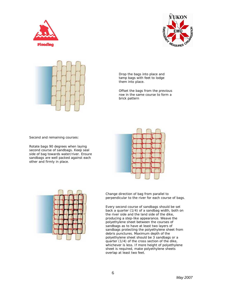





Drop the bags into place and tamp bags with feet to lodge them into place.

Offset the bags from the previous row in the same course to form a brick pattern

Second and remaining courses:

Rotate bags 90 degrees when laying second course of sandbags. Keep seal side of bag towards water/river. Ensure sandbags are well packed against each other and firmly in place.





Change direction of bag from parallel to perpendicular to the river for each course of bags.

Every second course of sandbags should be set back a quarter (1/4) of a sandbag width, both on the river side and the land side of the dike, producing a step-like appearance. Weave the polyethylene sheet between the courses of sandbags as to have at least two layers of sandbags protecting the polyethylene sheet from debris punctures. Maximum depth of the polyethylene sheet should be 3 sandbags or a quarter (1/4) of the cross section of the dike, whichever is less. If more height of polyethylene sheet is required, make polyethylene sheets overlap at least two feet.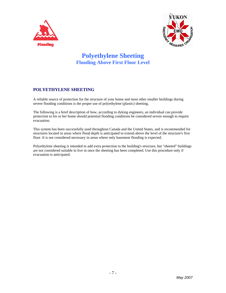



# **Polyethylene Sheeting Flooding Above First Floor Level**

# **POLYETHYLENE SHEETING**

A reliable source of protection for the structure of your home and most other smaller buildings during severe flooding conditions is the proper use of polyethylene (plastic) sheeting.

The following is a brief description of how, according to dyking engineers, an individual can provide protection to his or her home should potential flooding conditions be considered severe enough to require evacuation.

This system has been successfully used throughout Canada and the United States, and is recommended for structures located in areas where flood depth is anticipated to extend above the level of the structure's first floor. It is not considered necessary in areas where only basement flooding is expected.

Polyethylene sheeting is intended to add extra protection to the building's structure, but "sheeted" buildings are not considered suitable to live in once the sheeting has been completed. Use this procedure only if evacuation is anticipated.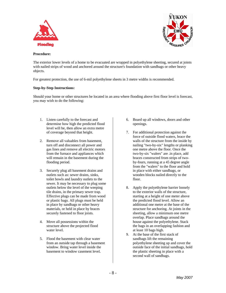



#### **Procedure:**

The exterior lower levels of a home to be evacuated are wrapped in polyethylene sheeting, secured at joints with nailed strips of wood and anchored around the structure's foundation with sandbags or other heavy objects.

For greatest protection, the use of 6-mil polyethylene sheets in 3 metre widths is recommended.

#### **Step-by-Step Instructions:**

Should your home or other structures be located in an area where flooding above first floor level is forecast, you may wish to do the following:

- 1. Listen carefully to the forecast and determine how high the predicted flood level will be, then allow an extra metre of coverage beyond that height.
- 2. Remove all valuables from basement, turn off and disconnect all power and gas lines and remove all electric motors from the furnace and appliances which will remain in the basement during the flooding period.
- 3. Securely plug all basement drains and outlets such as: sewer drains, sinks, toilet bowls and laundry outlets to the sewer. It may be necessary to plug some outlets below the level of the weeping tile drains, in the primary sewer trap. Effective plugs can be made from wood or plastic bags. All plugs must be held in place by sandbags or other heavy materials, or held in place by braces securely fastened to floor joists.
- 4. Move all possessions within the structure above the projected flood water level.
- 5. Flood the basement with clear water from an outside tap through a basement window. Bring water level inside the basement to window casement level.
- 6. Board up all windows, doors and other openings.
- 7. For additional protection against the force of outside flood waters, brace the walls of the structure from the inside by nailing "two-by-six" lengths or planking one metre above the floor. Once the two-by-six "walers" are .in place, add braces constructed from strips of twoby-fours, running at a 45 degree angle from the "walers" to the floor and hold in place with either sandbags, or wooden blocks nailed directly to the floor.
- 8. Apply the polyethylene barrier loosely to the exterior walls of the structure, starting at a height of one meter above the predicted flood level. Allow an additional one metre at the base of the structure for anchoring. At joints in the sheeting, allow a minimum one metre overlap. Place sandbags around the house against the polyethylene. Stack the bags in an overlapping fashion and at least 10 bags high.
- 9. At the base of the first stack of sandbags lift the remaining polyethylene sheeting up and cover the outside face of the initial sandbags, hold the plastic sheeting in place with a second wall of sandbags.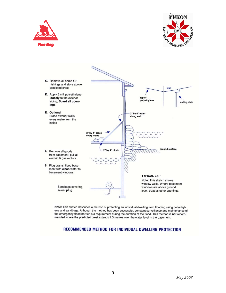





Note: This sketch describes a method of protecting an individual dwelling from flooding using polyethylene and sandbags. Although the method has been successful, constant surveillance and maintenance of the emergency flood barrier is a requirement during the duration of the flood. This method is not recommended where the predicted crest extends 1.3 metres over the water level in the basement.

# RECOMMENDED METHOD FOR INDIVIDUAL DWELLING PROTECTION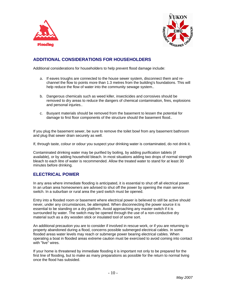



# **ADDITIONAL CONSIDERATIONS FOR HOUSEHOLDERS**

Additional considerations for householders to help prevent flood damage include:

- a. If eaves troughs are connected to the house sewer system, disconnect them and rechannel the flow to points more than 1.3 metres from the building's foundations. This will help reduce the flow of water into the community sewage system..
- b. Dangerous chemicals such as weed killer, insecticides and corrosives should be removed to dry areas to reduce the dangers of chemical contamination, fires, explosions and personal injuries..
- c. Buoyant materials should be removed from the basement to lessen the potential for damage to first floor components of the structure should the basement flood..

If you plug the basement sewer, be sure to remove the toilet bowl from any basement bathroom and plug that sewer drain securely as well.

If, through taste, colour or odour you suspect your drinking water is contaminated, do not drink it.

Contaminated drinking water may be purified by boiling, by adding purification tablets (if available), or by adding household bleach. In most situations adding two drops of normal strength bleach to each litre of water is recommended. Allow the treated water to stand for at least 30 minutes before drinking.

# **ELECTRICAL POWER**

In any area where immediate flooding is anticipated, it is essential to shut off all electrical power. In an urban area homeowners are advised to shut off the power by opening the main service switch. In a suburban or rural area the yard switch must be opened.

Entry into a flooded room or basement where electrical power is believed to still be active should never, under any circumstances, be attempted. When disconnecting the power source it is essential to be standing on a dry platform. Avoid approaching any master switch if it is surrounded by water. The switch may be opened through the use of a non-conductive dry material such as a dry wooden stick or insulated tool of some sort.

An additional precaution you are to consider if involved in rescue work, or if you are returning to property abandoned during a flood, concerns possible submerged electrical cables. In some flooded areas water levels may reach or submerge power bearing electrical cables. When operating a boat in flooded areas extreme caution must be exercised to avoid coming into contact with "live" wires.

If your home is threatened by immediate flooding it is important not only to be prepared for the first line of flooding, but to make as many preparations as possible for the return to normal living once the flood has subsided.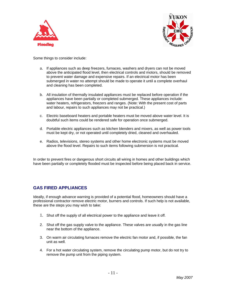



Some things to consider include:

- a. If appliances such as deep freezers, furnaces, washers and dryers can not be moved above the anticipated flood level, then electrical controls and motors, should be removed to prevent water damage and expensive repairs. If an electrical motor has been submerged in water no attempt should be made to operate it until a complete overhaul and cleaning has been completed.
- b. All insulation of thermally insulated appliances must be replaced before operation if the appliances have been partially or completed submerged. These appliances include: water heaters, refrigerators, freezers and ranges. (Note: With the present cost of parts and labour, repairs to such appliances may not be practical.)
- c. Electric baseboard heaters and portable heaters must be moved above water level. It is doubtful such items could be rendered safe for operation once submerged.
- d. Portable electric appliances such as kitchen blenders and mixers, as well as power tools must be kept dry, or not operated until completely dried, cleaned and overhauled.
- e. Radios, televisions, stereo systems and other home electronic systems must be moved above the flood level. Repairs to such items following submersion is not practical.

In order to prevent fires or dangerous short circuits all wiring in homes and other buildings which have been partially or completely flooded must be inspected before being placed back in service.

# **GAS FIRED APPLIANCES**

Ideally, if enough advance warning is provided of a potential flood, homeowners should have a professional contractor remove electric motor, burners and controls. If such help is not available, these are the steps you may wish to take:

- 1. Shut off the supply of all electrical power to the appliance and leave it off.
- 2. Shut off the gas supply valve to the appliance. These valves are usually in the gas line near the bottom of the appliance.
- 3. On warm air circulating furnaces remove the electric fan motor and, if possible, the fan unit as well.
- 4. For a hot water circulating system, remove the circulating pump motor, but do not try to remove the pump unit from the piping system.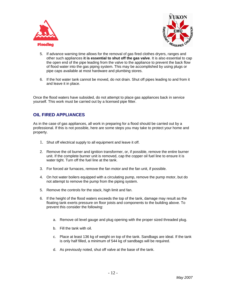



- 5. If advance warning time allows for the removal of gas fired clothes dryers, ranges and other such appliances **it is essential to shut off the gas valve**. It is also essential to cap the open end of the pipe leading from the valve to the appliance to prevent the back flow of flood water into the gas piping system. This may be accomplished by using plugs or pipe caps available at most hardware and plumbing stores.
- 6. If the hot water tank cannot be moved, do not drain. Shut off pipes leading to and from it and leave it in place.

Once the flood waters have subsided, do not attempt to place gas appliances back in service yourself. This work must be carried out by a licensed pipe fitter.

# **OIL FIRED APPLIANCES**

As in the case of gas appliances, all work in preparing for a flood should be carried out by a professional. If this is not possible, here are some steps you may take to protect your home and property.

- 1. Shut off electrical supply to all equipment and leave it off.
- 2. Remove the oil burner and ignition transformer, or, if possible, remove the entire burner unit. If the complete burner unit is removed, cap the copper oil fuel line to ensure it is water tight. Turn off the fuel line at the tank.
- 3. For forced air furnaces, remove the fan motor and the fan unit, if possible.
- 4. On hot water boilers equipped with a circulating pump, remove the pump motor, but do not attempt to remove the pump from the piping system.
- 5. Remove the controls for the stack, high limit and fan.
- 6. If the height of the flood waters exceeds the top of the tank, damage may result as the floating tank exerts pressure on floor joists and components to the building above. To prevent this consider the following:
	- a. Remove oil level gauge and plug opening with the proper sized threaded plug.
	- b. Fill the tank with oil.
	- c. Place at least 136 kg of weight on top of the tank. Sandbags are ideal. If the tank is only half filled, a minimum of 544 kg of sandbags will be required.
	- d. As previously noted, shut off valve at the base of the tank.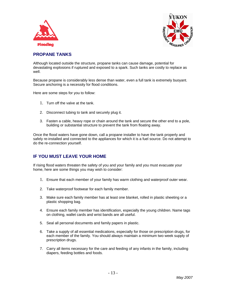



# **PROPANE TANKS**

Although located outside the structure, propane tanks can cause damage, potential for devastating explosions if ruptured and exposed to a spark. Such tanks are costly to replace as well.

Because propane is considerably less dense than water, even a full tank is extremely buoyant. Secure anchoring is a necessity for flood conditions.

Here are some steps for you to follow:

- 1. Turn off the valve at the tank.
- 2. Disconnect tubing to tank and securely plug it.
- 3. Fasten a cable, heavy rope or chain around the tank and secure the other end to a pole, building or substantial structure to prevent the tank from floating away.

Once the flood waters have gone down, call a propane installer to have the tank properly and safely re-installed and connected to the appliances for which it is a fuel source. Do not attempt to do the re-connection yourself.

# **IF YOU MUST LEAVE YOUR HOME**

If rising flood waters threaten the safety of you and your family and you must evacuate your home, here are some things you may wish to consider:

- 1. Ensure that each member of your family has warm clothing and waterproof outer wear.
- 2. Take waterproof footwear for each family member.
- 3. Make sure each family member has at least one blanket, rolled in plastic sheeting or a plastic shopping bag.
- 4. Ensure each family member has identification, especially the young children. Name tags on clothing, wallet cards and wrist bands are all useful.
- 5. Seal all personal documents and family papers in plastic.
- 6. Take a supply of all essential medications, especially for those on prescription drugs, for each member of the family. You should always maintain a minimum two week supply of prescription drugs.
- 7. Carry all items necessary for the care and feeding of any infants in the family, including diapers, feeding bottles and foods.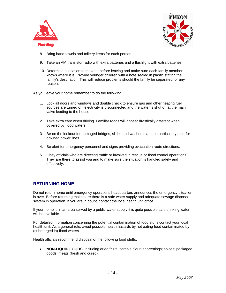



- 8. Bring hand towels and toiletry items for each person.
- 9. Take an AM transistor radio with extra batteries and a flashlight with extra batteries.
- 10. Determine a location to move to before leaving and make sure each family member knows where it is. Provide younger children with a note sealed in plastic stating the family's destination. This will reduce problems should the family be separated for any reason.

As you leave your home remember to do the following:

- 1. Lock all doors and windows and double check to ensure gas and other heating fuel sources are turned off, electricity is disconnected and the water is shut off at the main valve leading to the house.
- 2. Take extra care when driving. Familiar roads will appear drastically different when covered by flood waters.
- 3. Be on the lookout for damaged bridges, slides and washouts and be particularly alert for downed power lines.
- 4. Be alert for emergency personnel and signs providing evacuation route directions.
- 5. Obey officials who are directing traffic or involved in rescue or flood control operations. They are there to assist you and to make sure the situation is handled safely and effectively.

# **RETURNING HOME**

Do not return home until emergency operations headquarters announces the emergency situation is over. Before returning make sure there is a safe water supply and adequate sewage disposal system in operation. If you are in doubt, contact the local health unit office.

If your home is in an area served by a public water supply it is quite possible safe drinking water will be available.

For detailed information concerning the potential contamination of food stuffs contact your local health unit. As a general rule, avoid possible health hazards by not eating food contaminated by (submerged in) flood waters.

Health officials recommend disposal of the following food stuffs:

• **NON-LIQUID FOODS**, including dried fruits; cereals; flour; shortenings; spices; packaged goods; meats (fresh and cured);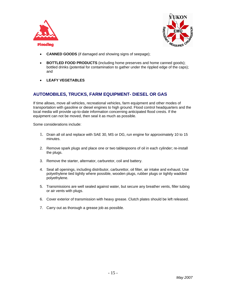



- **CANNED GOODS** (if damaged and showing signs of seepage);
- **BOTTLED FOOD PRODUCTS** (including home preserves and home canned goods); bottled drinks (potential for contamination to gather under the rippled edge of the caps); and
- **LEAFY VEGETABLES**

# **AUTOMOBILES, TRUCKS, FARM EQUIPMENT- DIESEL OR GAS**

If time allows, move all vehicles, recreational vehicles, farm equipment and other modes of transportation with gasoline or diesel engines to high ground. Flood control headquarters and the local media will provide up-to-date information concerning anticipated flood crests. If the equipment can not be moved, then seal it as much as possible.

Some considerations include:

- 1. Drain all oil and replace with SAE 30, MS or DG, run engine for approximately 10 to 15 minutes.
- 2. Remove spark plugs and place one or two tablespoons of oil in each cylinder; re-install the plugs.
- 3. Remove the starter, alternator, carburetor, coil and battery.
- 4. Seal all openings, including distributor, carburettor, oil filter, air intake and exhaust. Use polyethylene tied tightly where possible, wooden plugs, rubber plugs or tightly wadded polyethylene.
- 5. Transmissions are well sealed against water, but secure any breather vents, filler tubing or air vents with plugs.
- 6. Cover exterior of transmission with heavy grease. Clutch plates should be left released.
- 7. Carry out as thorough a grease job as possible.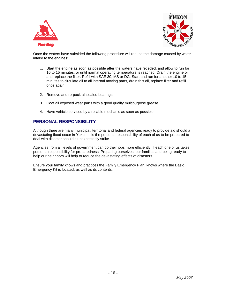



Once the waters have subsided the following procedure will reduce the damage caused by water intake to the engines:

- 1. Start the engine as soon as possible after the waters have receded, and allow to run for 10 to 15 minutes, or until normal operating temperature is reached. Drain the engine oil and replace the filter. Refill with SAE 30, MS or DG. Start and run for another 10 to 15 minutes to circulate oil to all internal moving parts, drain this oil, replace filter and refill once again.
- 2. Remove and re-pack all sealed bearings.
- 3. Coat all exposed wear parts with a good quality multipurpose grease.
- 4. Have vehicle serviced by a reliable mechanic as soon as possible.

# **PERSONAL RESPONSIBILITY**

Although there are many municipal, territorial and federal agencies ready to provide aid should a devastating flood occur in Yukon, it is the personal responsibility of each of us to be prepared to deal with disaster should it unexpectedly strike.

Agencies from all levels of government can do their jobs more efficiently, if each one of us takes personal responsibility for preparedness. Preparing ourselves, our families and being ready to help our neighbors will help to reduce the devastating effects of disasters.

Ensure your family knows and practices the Family Emergency Plan, knows where the Basic Emergency Kit is located, as well as its contents.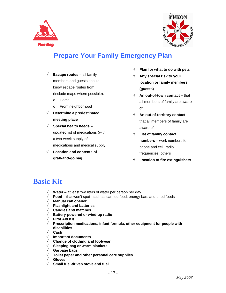



# **Prepare Your Family Emergency Plan**

- √ **Escape routes** all family members and guests should know escape routes from (include maps where possible):
	- o Home
	- o From neighborhood
- √ **Determine a predestinated meeting place**
- √ **Special health needs**  updated list of medications (with a two-week supply of medications and medical supply
- √ **Location and contents of grab-and-go bag**
- √ **Plan for what to do with pets**
- √ **Any special risk to your location or family members (guests)**
- √ **An out-of-town contact** that all members of family are aware of
- √ **An out-of-territory contact** that all members of family are aware of
- √ **List of family contact numbers –** work numbers for phone and cell, radio frequencies, others
- √ **Location of fire extinguishers**

# **Basic Kit**

- √ **Water** at least two liters of water per person per day.
- √ **Food**  that won't spoil, such as canned food, energy bars and dried foods
- √ **Manual can opener**
- √ **Flashlight and batteries**
- √ **Candies and matches**
- √ **Battery-powered or wind-up radio**
- √ **First Aid Kit**
- √ **Prescription medications, infant formula, other equipment for people with disabilities**
- √ **Cash**
- √ **Important documents**
- √ **Change of clothing and footwear**
- √ **Sleeping bag or warm blankets**
- √ **Garbage bags**
- √ **Toilet paper and other personal care supplies**
- √ **Gloves**
- √ **Small fuel-driven stove and fuel**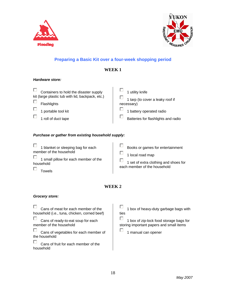



# **Preparing a Basic Kit over a four-week shopping period**

# **WEEK 1**

### *Hardware store:*

| Containers to hold the disaster supply           | 1 utility knife                     |
|--------------------------------------------------|-------------------------------------|
| kit (large plastic tub with lid, backpack, etc.) | 1 tarp (to cover a leaky roof if    |
| Flashlights                                      | necessary)                          |
| 1 portable tool kit                              | 1 battery operated radio            |
| 1 roll of duct tape                              | Batteries for flashlights and radio |
|                                                  |                                     |

# *Purchase or gather from existing household supply:*

| 1 blanket or sleeping bag for each<br>member of the household<br>1 small pillow for each member of the<br>household<br>Towels | Books or games for entertainment<br>1 local road map<br>1 set of extra clothing and shoes for<br>each member of the household |
|-------------------------------------------------------------------------------------------------------------------------------|-------------------------------------------------------------------------------------------------------------------------------|
|-------------------------------------------------------------------------------------------------------------------------------|-------------------------------------------------------------------------------------------------------------------------------|

# **WEEK 2**

П

# *Grocery store:*

П Cans of meat for each member of the household (i.e., tuna, chicken, corned beef)

П Cans of ready-to-eat soup for each member of the household

П Cans of vegetables for each member of the household

П Cans of fruit for each member of the household

П 1 box of heavy-duty garbage bags with ties

П 1 box of zip-lock food storage bags for storing important papers and small items

1 manual can opener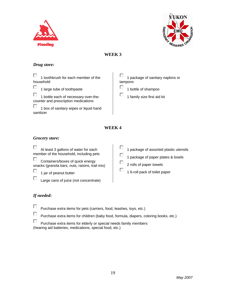



# **WEEK 3**

# *Drug store:*

П 1 toothbrush for each member of the household

Г 1 large tube of toothpaste

П 1 bottle each of necessary over-thecounter and prescription medications

□ 1 box of sanitary wipes or liquid hand sanitizer

□ 1 package of sanitary napkins or tampons

- П 1 bottle of shampoo
- г 1 family size first aid kit

# **WEEK 4**

# *Grocery store:*

п At least 3 gallons of water for each member of the household, including pets

П Containers/boxes of quick energy snacks (granola bars, nuts, raisins, trail mix)

п 1 jar of peanut butter

Large cans of juice (not concentrate)

П 1 package of assorted plastic utensils

П 1 package of paper plates & bowls

□ 2 rolls of paper towels

г 1 6-roll pack of toilet paper

# *If needed:*

п

п Purchase extra items for pets (carriers, food, leashes, toys, etc.)

п Purchase extra items for children (baby food, formula, diapers, coloring books, etc.)

П Purchase extra items for elderly or special needs family members (hearing aid batteries, medications, special food, etc.)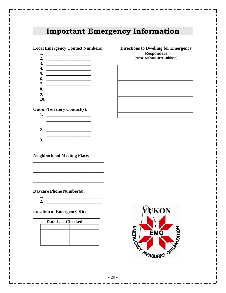# **Important Emergency Information**

#### **Local Emergency Contact Numbers:**

- **1. \_\_\_\_\_\_\_\_\_\_\_\_\_\_\_\_\_\_\_\_**
- **2. \_\_\_\_\_\_\_\_\_\_\_\_\_\_\_\_\_\_\_\_**
- **3. \_\_\_\_\_\_\_\_\_\_\_\_\_\_\_\_\_\_\_\_**
- **4. \_\_\_\_\_\_\_\_\_\_\_\_\_\_\_\_\_\_\_\_ 5. \_\_\_\_\_\_\_\_\_\_\_\_\_\_\_\_\_\_\_\_**
- **6. \_\_\_\_\_\_\_\_\_\_\_\_\_\_\_\_\_\_\_\_**
- **7. \_\_\_\_\_\_\_\_\_\_\_\_\_\_\_\_\_\_\_\_**
- **8. \_\_\_\_\_\_\_\_\_\_\_\_\_\_\_\_\_\_\_\_**
- **9. \_\_\_\_\_\_\_\_\_\_\_\_\_\_\_\_\_\_\_\_ 10. \_\_\_\_\_\_\_\_\_\_\_\_\_\_\_\_\_\_\_\_**

#### **Out-of-Territory Contact(s):**

- **1. \_\_\_\_\_\_\_\_\_\_\_\_\_\_\_\_\_\_\_\_ \_\_\_\_\_\_\_\_\_\_\_\_\_\_\_\_\_\_\_\_**
- **2. \_\_\_\_\_\_\_\_\_\_\_\_\_\_\_\_\_\_\_\_ \_\_\_\_\_\_\_\_\_\_\_\_\_\_\_\_\_\_\_\_**
- **3. \_\_\_\_\_\_\_\_\_\_\_\_\_\_\_\_\_\_\_\_ \_\_\_\_\_\_\_\_\_\_\_\_\_\_\_\_\_\_\_\_**

**\_\_\_\_\_\_\_\_\_\_\_\_\_\_\_\_\_\_\_\_\_\_\_\_\_\_\_\_\_\_\_\_** 

**\_\_\_\_\_\_\_\_\_\_\_\_\_\_\_\_\_\_\_\_\_\_\_\_\_\_\_\_\_\_\_\_** 

#### **Neighborhood Meeting Place:**

# **Daycare Phone Number(s):**

- **1. \_\_\_\_\_\_\_\_\_\_\_\_\_\_\_\_\_\_\_\_\_\_\_\_\_**
- **2. \_\_\_\_\_\_\_\_\_\_\_\_\_\_\_\_\_\_\_\_\_\_\_\_\_**

## **Location of Emergency Kit:**

| <b>Date Last Checked</b> |  |  |  |  |
|--------------------------|--|--|--|--|
|                          |  |  |  |  |
|                          |  |  |  |  |
|                          |  |  |  |  |

#### **Directions to Dwelling for Emergency Responders**

**(Areas without street address)**